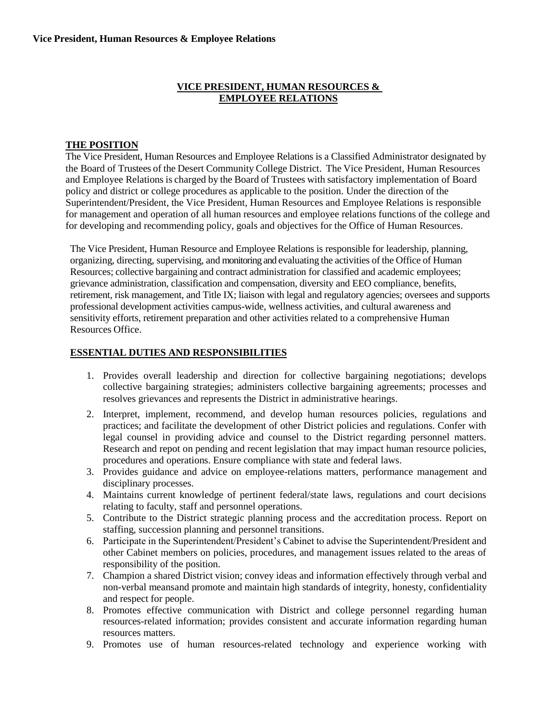#### **VICE PRESIDENT, HUMAN RESOURCES & EMPLOYEE RELATIONS**

#### **THE POSITION**

The Vice President, Human Resources and Employee Relations is a Classified Administrator designated by the Board of Trustees of the Desert Community College District. The Vice President, Human Resources and Employee Relations is charged by the Board of Trustees with satisfactory implementation of Board policy and district or college procedures as applicable to the position. Under the direction of the Superintendent/President, the Vice President, Human Resources and Employee Relations is responsible for management and operation of all human resources and employee relations functions of the college and for developing and recommending policy, goals and objectives for the Office of Human Resources.

The Vice President, Human Resource and Employee Relations is responsible for leadership, planning, organizing, directing, supervising, and monitoring and evaluating the activities of the Office of Human Resources; collective bargaining and contract administration for classified and academic employees; grievance administration, classification and compensation, diversity and EEO compliance, benefits, retirement, risk management, and Title IX; liaison with legal and regulatory agencies; oversees and supports professional development activities campus-wide, wellness activities, and cultural awareness and sensitivity efforts, retirement preparation and other activities related to a comprehensive Human Resources Office.

#### **ESSENTIAL DUTIES AND RESPONSIBILITIES**

- 1. Provides overall leadership and direction for collective bargaining negotiations; develops collective bargaining strategies; administers collective bargaining agreements; processes and resolves grievances and represents the District in administrative hearings.
- 2. Interpret, implement, recommend, and develop human resources policies, regulations and practices; and facilitate the development of other District policies and regulations. Confer with legal counsel in providing advice and counsel to the District regarding personnel matters. Research and repot on pending and recent legislation that may impact human resource policies, procedures and operations. Ensure compliance with state and federal laws.
- 3. Provides guidance and advice on employee-relations matters, performance management and disciplinary processes.
- 4. Maintains current knowledge of pertinent federal/state laws, regulations and court decisions relating to faculty, staff and personnel operations.
- 5. Contribute to the District strategic planning process and the accreditation process. Report on staffing, succession planning and personnel transitions.
- 6. Participate in the Superintendent/President's Cabinet to advise the Superintendent/President and other Cabinet members on policies, procedures, and management issues related to the areas of responsibility of the position.
- 7. Champion a shared District vision; convey ideas and information effectively through verbal and non-verbal meansand promote and maintain high standards of integrity, honesty, confidentiality and respect for people.
- 8. Promotes effective communication with District and college personnel regarding human resources-related information; provides consistent and accurate information regarding human resources matters.
- 9. Promotes use of human resources-related technology and experience working with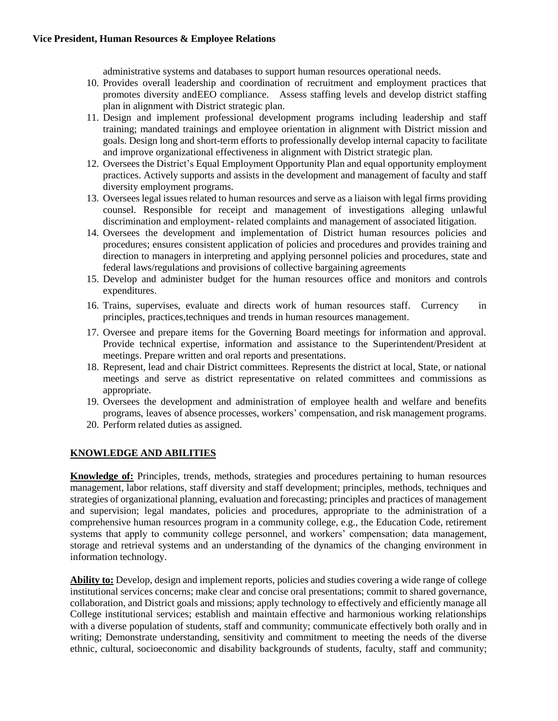administrative systems and databases to support human resources operational needs.

- 10. Provides overall leadership and coordination of recruitment and employment practices that promotes diversity andEEO compliance. Assess staffing levels and develop district staffing plan in alignment with District strategic plan.
- 11. Design and implement professional development programs including leadership and staff training; mandated trainings and employee orientation in alignment with District mission and goals. Design long and short-term efforts to professionally develop internal capacity to facilitate and improve organizational effectiveness in alignment with District strategic plan.
- 12. Oversees the District's Equal Employment Opportunity Plan and equal opportunity employment practices. Actively supports and assists in the development and management of faculty and staff diversity employment programs.
- 13. Oversees legal issues related to human resources and serve as a liaison with legal firms providing counsel. Responsible for receipt and management of investigations alleging unlawful discrimination and employment- related complaints and management of associated litigation.
- 14. Oversees the development and implementation of District human resources policies and procedures; ensures consistent application of policies and procedures and provides training and direction to managers in interpreting and applying personnel policies and procedures, state and federal laws/regulations and provisions of collective bargaining agreements
- 15. Develop and administer budget for the human resources office and monitors and controls expenditures.
- 16. Trains, supervises, evaluate and directs work of human resources staff. Currency in principles, practices,techniques and trends in human resources management.
- 17. Oversee and prepare items for the Governing Board meetings for information and approval. Provide technical expertise, information and assistance to the Superintendent/President at meetings. Prepare written and oral reports and presentations.
- 18. Represent, lead and chair District committees. Represents the district at local, State, or national meetings and serve as district representative on related committees and commissions as appropriate.
- 19. Oversees the development and administration of employee health and welfare and benefits programs, leaves of absence processes, workers' compensation, and risk management programs.
- 20. Perform related duties as assigned.

## **KNOWLEDGE AND ABILITIES**

**Knowledge of:** Principles, trends, methods, strategies and procedures pertaining to human resources management, labor relations, staff diversity and staff development; principles, methods, techniques and strategies of organizational planning, evaluation and forecasting; principles and practices of management and supervision; legal mandates, policies and procedures, appropriate to the administration of a comprehensive human resources program in a community college, e.g., the Education Code, retirement systems that apply to community college personnel, and workers' compensation; data management, storage and retrieval systems and an understanding of the dynamics of the changing environment in information technology.

**Ability to:** Develop, design and implement reports, policies and studies covering a wide range of college institutional services concerns; make clear and concise oral presentations; commit to shared governance, collaboration, and District goals and missions; apply technology to effectively and efficiently manage all College institutional services; establish and maintain effective and harmonious working relationships with a diverse population of students, staff and community; communicate effectively both orally and in writing; Demonstrate understanding, sensitivity and commitment to meeting the needs of the diverse ethnic, cultural, socioeconomic and disability backgrounds of students, faculty, staff and community;